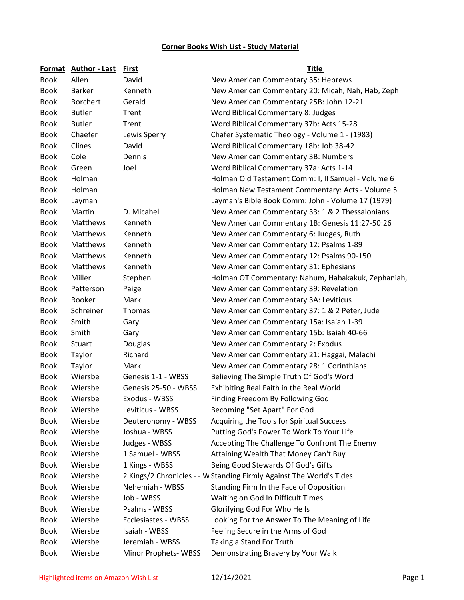## **Corner Books Wish List - Study Material**

|             | Format Author - Last | <b>First</b>         | <b>Title</b>                                                         |
|-------------|----------------------|----------------------|----------------------------------------------------------------------|
| <b>Book</b> | Allen                | David                | New American Commentary 35: Hebrews                                  |
| <b>Book</b> | <b>Barker</b>        | Kenneth              | New American Commentary 20: Micah, Nah, Hab, Zeph                    |
| <b>Book</b> | <b>Borchert</b>      | Gerald               | New American Commentary 25B: John 12-21                              |
| <b>Book</b> | <b>Butler</b>        | Trent                | Word Biblical Commentary 8: Judges                                   |
| <b>Book</b> | <b>Butler</b>        | Trent                | Word Biblical Commentary 37b: Acts 15-28                             |
| <b>Book</b> | Chaefer              | Lewis Sperry         | Chafer Systematic Theology - Volume 1 - (1983)                       |
| <b>Book</b> | Clines               | David                | Word Biblical Commentary 18b: Job 38-42                              |
| <b>Book</b> | Cole                 | Dennis               | New American Commentary 3B: Numbers                                  |
| <b>Book</b> | Green                | Joel                 | Word Biblical Commentary 37a: Acts 1-14                              |
| <b>Book</b> | Holman               |                      | Holman Old Testament Comm: I, II Samuel - Volume 6                   |
| <b>Book</b> | Holman               |                      | Holman New Testament Commentary: Acts - Volume 5                     |
| <b>Book</b> | Layman               |                      | Layman's Bible Book Comm: John - Volume 17 (1979)                    |
| <b>Book</b> | Martin               | D. Micahel           | New American Commentary 33: 1 & 2 Thessalonians                      |
| <b>Book</b> | Matthews             | Kenneth              | New American Commentary 1B: Genesis 11:27-50:26                      |
| <b>Book</b> | Matthews             | Kenneth              | New American Commentary 6: Judges, Ruth                              |
| <b>Book</b> | <b>Matthews</b>      | Kenneth              | New American Commentary 12: Psalms 1-89                              |
| <b>Book</b> | Matthews             | Kenneth              | New American Commentary 12: Psalms 90-150                            |
| <b>Book</b> | Matthews             | Kenneth              | New American Commentary 31: Ephesians                                |
| <b>Book</b> | Miller               | Stephen              | Holman OT Commentary: Nahum, Habakakuk, Zephaniah,                   |
| <b>Book</b> | Patterson            | Paige                | New American Commentary 39: Revelation                               |
| <b>Book</b> | Rooker               | Mark                 | New American Commentary 3A: Leviticus                                |
| <b>Book</b> | Schreiner            | Thomas               | New American Commentary 37: 1 & 2 Peter, Jude                        |
| <b>Book</b> | Smith                | Gary                 | New American Commentary 15a: Isaiah 1-39                             |
| <b>Book</b> | Smith                | Gary                 | New American Commentary 15b: Isaiah 40-66                            |
| <b>Book</b> | Stuart               | Douglas              | New American Commentary 2: Exodus                                    |
| <b>Book</b> | Taylor               | Richard              | New American Commentary 21: Haggai, Malachi                          |
| <b>Book</b> | Taylor               | Mark                 | New American Commentary 28: 1 Corinthians                            |
| <b>Book</b> | Wiersbe              | Genesis 1-1 - WBSS   | Believing The Simple Truth Of God's Word                             |
| <b>Book</b> | Wiersbe              | Genesis 25-50 - WBSS | Exhibiting Real Faith in the Real World                              |
| <b>Book</b> | Wiersbe              | Exodus - WBSS        | Finding Freedom By Following God                                     |
| <b>Book</b> | Wiersbe              | Leviticus - WBSS     | Becoming "Set Apart" For God                                         |
| <b>Book</b> | Wiersbe              | Deuteronomy - WBSS   | Acquiring the Tools for Spiritual Success                            |
| <b>Book</b> | Wiersbe              | Joshua - WBSS        | Putting God's Power To Work To Your Life                             |
| <b>Book</b> | Wiersbe              | Judges - WBSS        | Accepting The Challenge To Confront The Enemy                        |
| <b>Book</b> | Wiersbe              | 1 Samuel - WBSS      | Attaining Wealth That Money Can't Buy                                |
| <b>Book</b> | Wiersbe              | 1 Kings - WBSS       | Being Good Stewards Of God's Gifts                                   |
| <b>Book</b> | Wiersbe              |                      | 2 Kings/2 Chronicles - - W Standing Firmly Against The World's Tides |
| Book        | Wiersbe              | Nehemiah - WBSS      | Standing Firm In the Face of Opposition                              |
| <b>Book</b> | Wiersbe              | Job - WBSS           | Waiting on God In Difficult Times                                    |
| <b>Book</b> | Wiersbe              | Psalms - WBSS        | Glorifying God For Who He Is                                         |
| <b>Book</b> | Wiersbe              | Ecclesiastes - WBSS  | Looking For the Answer To The Meaning of Life                        |
| <b>Book</b> | Wiersbe              | Isaiah - WBSS        | Feeling Secure in the Arms of God                                    |
| <b>Book</b> | Wiersbe              | Jeremiah - WBSS      | Taking a Stand For Truth                                             |
| <b>Book</b> | Wiersbe              | Minor Prophets-WBSS  | Demonstrating Bravery by Your Walk                                   |